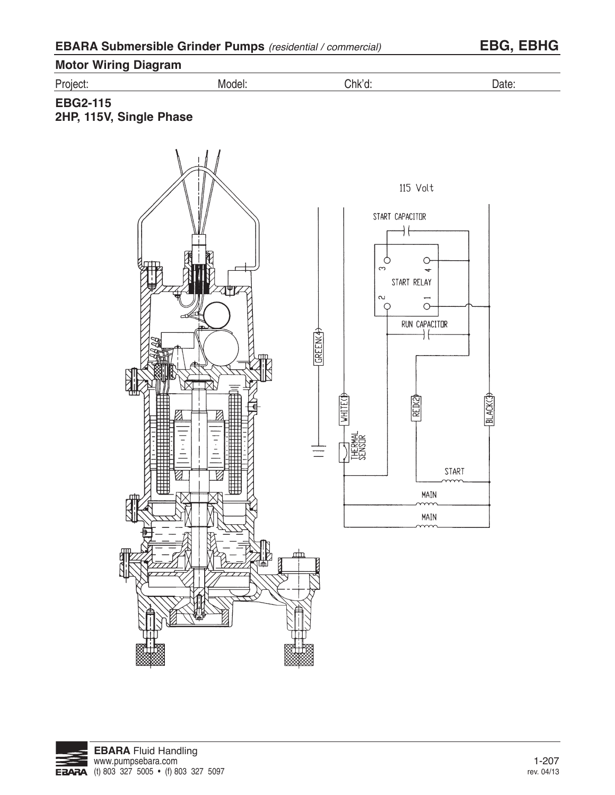| <b>EBARA Submersible Grinder Pumps</b> (residential / commercial) |  |  |  |
|-------------------------------------------------------------------|--|--|--|
|-------------------------------------------------------------------|--|--|--|

**EBARA Submersible Grinder Pumps** (residential / commercial) **EBG, EBHG**



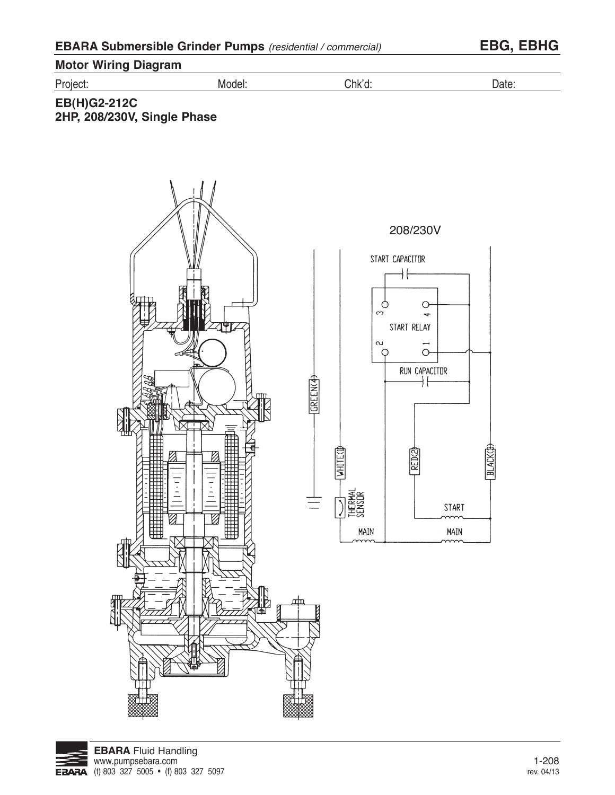| <b>EBARA Submersible Grinder Pumps</b> (residential / commercial) | <b>EBG, EBHG</b> |
|-------------------------------------------------------------------|------------------|
|                                                                   |                  |

| <b>Motor Wiring Diagram</b> |        |        |       |
|-----------------------------|--------|--------|-------|
| Project:                    | Model: | Chk'd: | Date. |

### **EB(H)G2-212C 2HP, 208/230V, Single Phase**





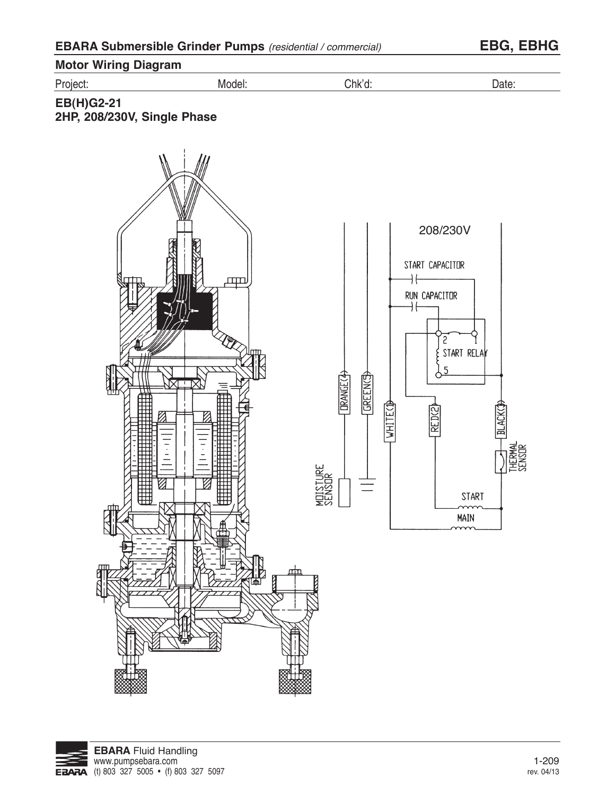| <b>EBARA Submersible Grinder Pumps</b> (residential / commercial) |  |  |  |
|-------------------------------------------------------------------|--|--|--|
|-------------------------------------------------------------------|--|--|--|

**EBARA Submersible Grinder Pumps** (residential / commercial) **EBG, EBHG**



**2HP, 208/230V, Single Phase**

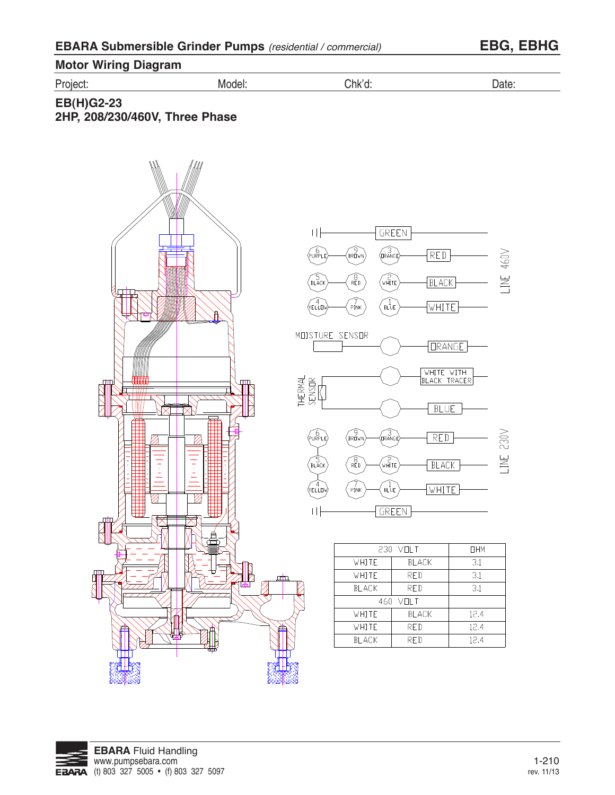| <b>EBARA Submersible Grinder Pumps</b> (residential / commercial) |  |  |  |
|-------------------------------------------------------------------|--|--|--|
|-------------------------------------------------------------------|--|--|--|

**Motor Wiring Diagram**

Project: Model: Chk'd: Date:

 $\mathbb{E}_{\mathbb{E}_{\mathbb{E}_{\mathbb{E}_{\mathbb{E}_{\mathbb{E}_{\mathbb{E}_{\mathbb{E}_{\mathbb{E}_{\mathbb{E}_{\mathbb{E}_{\mathbb{E}}\mathbb{E}_{\mathbb{E}_{\mathbb{E}}\mathbb{E}_{\mathbb{E}}\mathbb{E}_{\mathbb{E}}\mathbb{E}_{\mathbb{E}}\mathbb{E}}\mathbb{E}_{\mathbb{E}}\mathbb{E}_{\mathbb{E}_{\mathbb{E}}\mathbb{E}_{\mathbb{E}}\mathbb{E}_{\mathbb{E}}\mathbb{E}_{\mathbb{E}_{\mathbb{E}}\mathbb{E}_{\mathbb{E}}\mathbb{$ 

**EB(H)G2-23 2HP, 208/230/460V, Three Phase** 2HP, 200/230/460 Volt, 3-Phase





|              | 230 VOLT     |      |  |
|--------------|--------------|------|--|
| WHITE        | <b>BLACK</b> | 3.1  |  |
| white        | RED          | 3.1  |  |
| <b>BLACK</b> | 3.1          |      |  |
| 460 VOLT     |              |      |  |
| WHITE        | <b>BLACK</b> | 12.4 |  |
| white        | <b>RED</b>   | 12.4 |  |
| BI ACK       | RF D         | 12.4 |  |

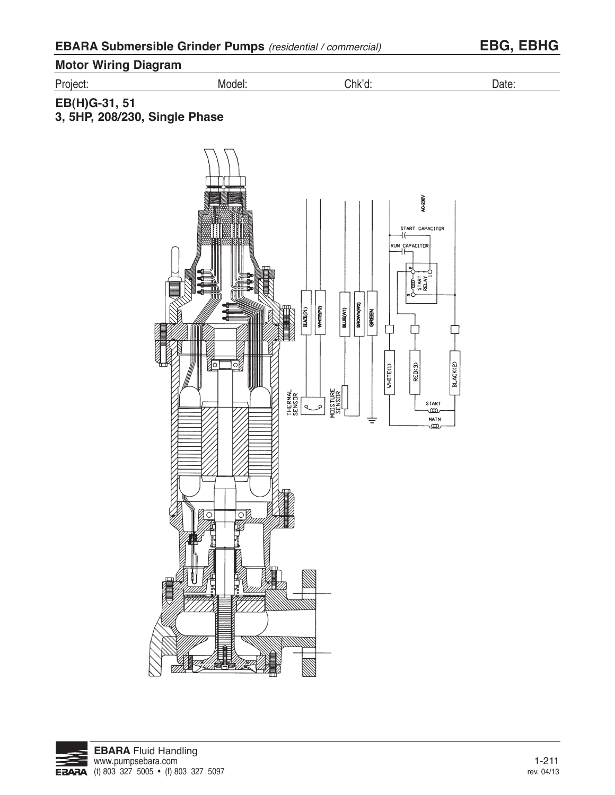| <b>Motor Wiring Diagram</b> |  |
|-----------------------------|--|
|                             |  |

Project: Model: Chk'd: Date:

### **EB(H)G-31, 51 3, 5HP, 208/230, Single Phase**



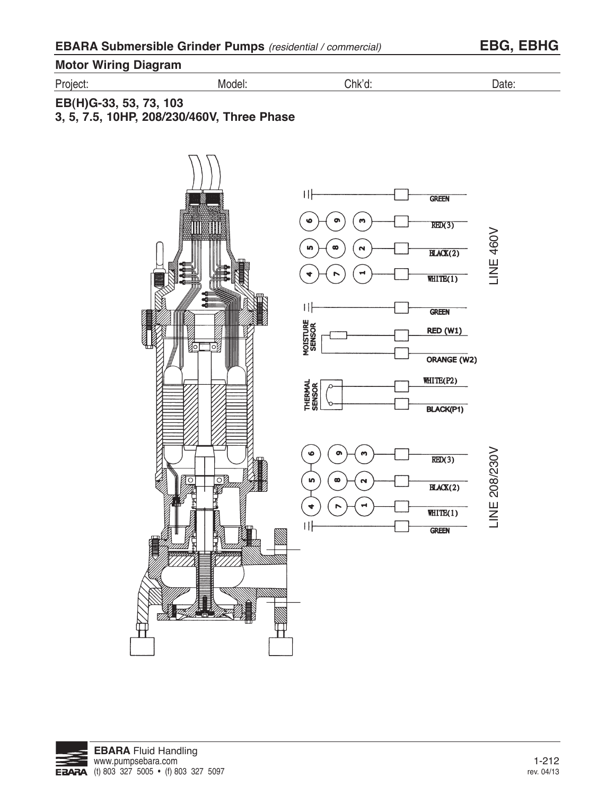**Motor Wiring Diagram**

Project: Model: Chk'd: Date:

**EB(H)G-33, 53, 73, 103 3, 5, 7.5, 10HP, 208/230/460V, Three Phase**



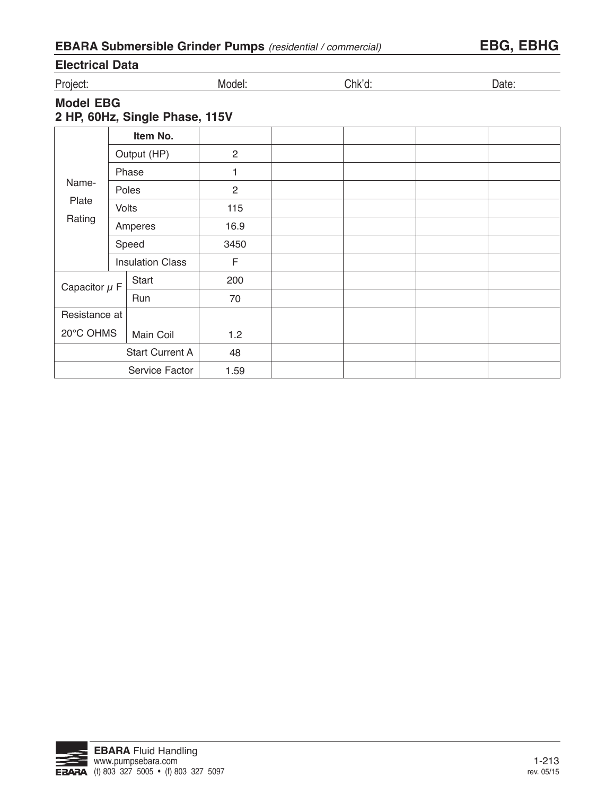| <b>EBARA Submersible Grinder Pumps</b> (residential / commercial) |  |  |  |
|-------------------------------------------------------------------|--|--|--|
|-------------------------------------------------------------------|--|--|--|

## **Electrical Data**

Project: Model: Chk'd: Date:

# **Model EBG**

**2 HP, 60Hz, Single Phase, 115V**

|                         |             | Item No.               |              |  |  |
|-------------------------|-------------|------------------------|--------------|--|--|
|                         | Output (HP) |                        | 2            |  |  |
|                         |             | Phase                  | 1            |  |  |
| Name-                   |             | Poles                  | $\mathbf{2}$ |  |  |
| Plate                   |             | Volts                  | 115          |  |  |
| Rating                  | Amperes     |                        | 16.9         |  |  |
|                         | Speed       |                        | 3450         |  |  |
| <b>Insulation Class</b> |             | F                      |              |  |  |
| Capacitor $\mu$ F       |             | Start                  | 200          |  |  |
|                         |             | Run                    | 70           |  |  |
| Resistance at           |             |                        |              |  |  |
| 20°C OHMS<br>Main Coil  |             | 1.2                    |              |  |  |
|                         |             | <b>Start Current A</b> | 48           |  |  |
|                         |             | Service Factor         | 1.59         |  |  |

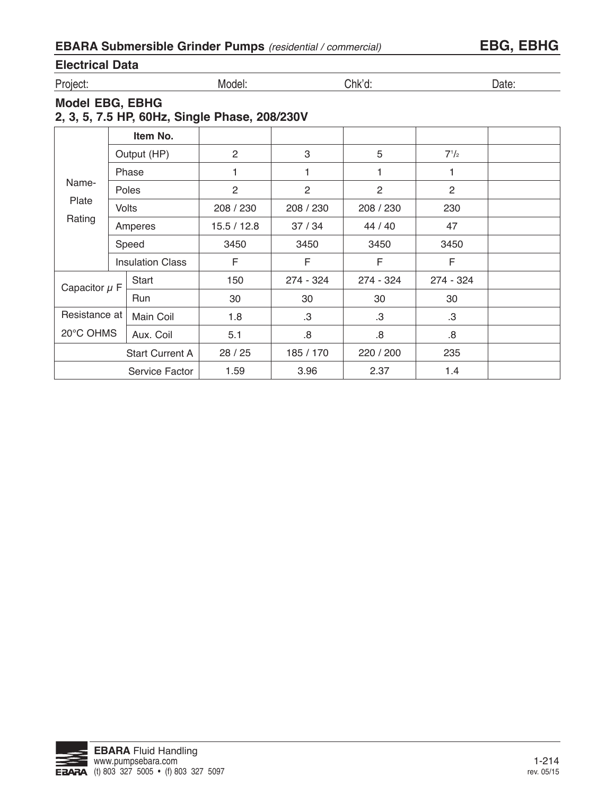| <b>EBARA Submersible Grinder Pumps</b> (residential / commercial) |  |
|-------------------------------------------------------------------|--|
|-------------------------------------------------------------------|--|

# **Electrical Data**

Project: Model: Chk'd: Date:

# **Model EBG, EBHG**

### **2, 3, 5, 7.5 HP, 60Hz, Single Phase, 208/230V**

|                   |       | Item No.                |                |           |           |           |  |
|-------------------|-------|-------------------------|----------------|-----------|-----------|-----------|--|
|                   |       | Output (HP)             | $\overline{2}$ | 3         | 5         | $7^{1}/2$ |  |
|                   |       | Phase                   | 1              |           | 1         |           |  |
| Name-             |       | Poles                   | 2              | 2         | 2         | 2         |  |
| Plate             |       | <b>Volts</b>            | 208 / 230      | 208 / 230 | 208 / 230 | 230       |  |
| Rating            |       | Amperes                 | 15.5 / 12.8    | 37/34     | 44 / 40   | 47        |  |
|                   | Speed |                         | 3450           | 3450      | 3450      | 3450      |  |
|                   |       | <b>Insulation Class</b> | F              | F         | F         | F         |  |
| Capacitor $\mu$ F |       | Start                   | 150            | 274 - 324 | 274 - 324 | 274 - 324 |  |
|                   |       | <b>Run</b>              | 30             | 30        | 30        | 30        |  |
| Resistance at     |       | Main Coil               | 1.8            | .3        | .3        | .3        |  |
| 20°C OHMS         |       | Aux. Coil               | 5.1            | .8        | 8.5       | .8        |  |
|                   |       | <b>Start Current A</b>  | 28 / 25        | 185 / 170 | 220 / 200 | 235       |  |
|                   |       | Service Factor          | 1.59           | 3.96      | 2.37      | 1.4       |  |